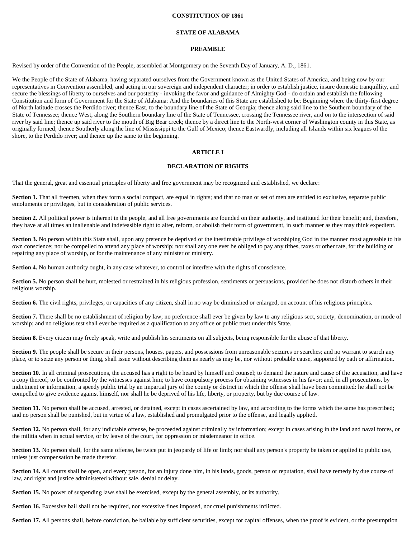#### **CONSTITUTION OF 1861**

### **STATE OF ALABAMA**

### **PREAMBLE**

Revised by order of the Convention of the People, assembled at Montgomery on the Seventh Day of January, A. D., 1861.

We the People of the State of Alabama, having separated ourselves from the Government known as the United States of America, and being now by our representatives in Convention assembled, and acting in our sovereign and independent character; in order to establish justice, insure domestic tranquillity, and secure the blessings of liberty to ourselves and our posterity - invoking the favor and guidance of Almighty God - do ordain and establish the following Constitution and form of Government for the State of Alabama: And the boundaries of this State are established to be: Beginning where the thirty-first degree of North latitude crosses the Perdido river; thence East, to the boundary line of the State of Georgia; thence along said line to the Southern boundary of the State of Tennessee; thence West, along the Southern boundary line of the State of Tennessee, crossing the Tennessee river, and on to the intersection of said river by said line; thence up said river to the mouth of Big Bear creek; thence by a direct line to the North-west corner of Washington county in this State, as originally formed; thence Southerly along the line of Mississippi to the Gulf of Mexico; thence Eastwardly, including all Islands within six leagues of the shore, to the Perdido river; and thence up the same to the beginning.

#### **ARTICLE I**

#### **DECLARATION OF RIGHTS**

That the general, great and essential principles of liberty and free government may be recognized and established, we declare:

**Section 1.** That all freemen, when they form a social compact, are equal in rights; and that no man or set of men are entitled to exclusive, separate public emoluments or privileges, but in consideration of public services.

Section 2. All political power is inherent in the people, and all free governments are founded on their authority, and instituted for their benefit; and, therefore, they have at all times an inalienable and indefeasible right to alter, reform, or abolish their form of government, in such manner as they may think expedient.

Section 3. No person within this State shall, upon any pretence be deprived of the inestimable privilege of worshiping God in the manner most agreeable to his own conscience; nor be compelled to attend any place of worship; nor shall any one ever be obliged to pay any tithes, taxes or other rate, for the building or repairing any place of worship, or for the maintenance of any minister or ministry.

**Section 4.** No human authority ought, in any case whatever, to control or interfere with the rights of conscience.

Section 5. No person shall be hurt, molested or restrained in his religious profession, sentiments or persuasions, provided he does not disturb others in their religious worship.

Section 6. The civil rights, privileges, or capacities of any citizen, shall in no way be diminished or enlarged, on account of his religious principles.

Section 7. There shall be no establishment of religion by law; no preference shall ever be given by law to any religious sect, society, denomination, or mode of worship; and no religious test shall ever be required as a qualification to any office or public trust under this State.

**Section 8.** Every citizen may freely speak, write and publish his sentiments on all subjects, being responsible for the abuse of that liberty.

Section 9. The people shall be secure in their persons, houses, papers, and possessions from unreasonable seizures or searches; and no warrant to search any place, or to seize any person or thing, shall issue without describing them as nearly as may be, nor without probable cause, supported by oath or affirmation.

Section 10. In all criminal prosecutions, the accused has a right to be heard by himself and counsel; to demand the nature and cause of the accusation, and have a copy thereof; to be confronted by the witnesses against him; to have compulsory process for obtaining witnesses in his favor; and, in all prosecutions, by indictment or information, a speedy public trial by an impartial jury of the county or district in which the offense shall have been committed: he shall not be compelled to give evidence against himself, nor shall he be deprived of his life, liberty, or property, but by due course of law.

Section 11. No person shall be accused, arrested, or detained, except in cases ascertained by law, and according to the forms which the same has prescribed; and no person shall be punished, but in virtue of a law, established and promulgated prior to the offense, and legally applied.

Section 12. No person shall, for any indictable offense, be proceeded against criminally by information; except in cases arising in the land and naval forces, or the militia when in actual service, or by leave of the court, for oppression or misdemeanor in office.

Section 13. No person shall, for the same offense, be twice put in jeopardy of life or limb; nor shall any person's property be taken or applied to public use, unless just compensation be made therefor.

Section 14. All courts shall be open, and every person, for an injury done him, in his lands, goods, person or reputation, shall have remedy by due course of law, and right and justice administered without sale, denial or delay.

**Section 15.** No power of suspending laws shall be exercised, except by the general assembly, or its authority.

**Section 16.** Excessive bail shall not be required, nor excessive fines imposed, nor cruel punishments inflicted.

Section 17. All persons shall, before conviction, be bailable by sufficient securities, except for capital offenses, when the proof is evident, or the presumption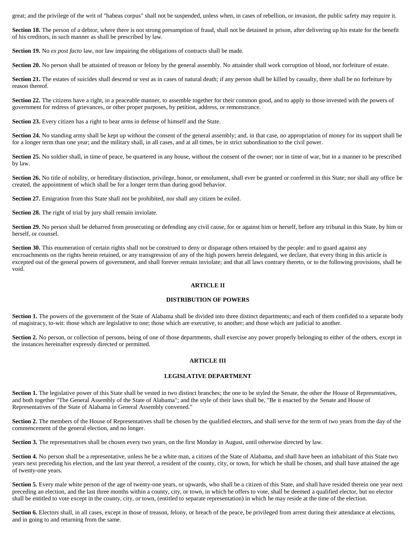great; and the privilege of the writ of "habeas corpus" shall not be suspended, unless when, in cases of rebellion, or invasion, the public safety may require it.

Section 18. The person of a debtor, where there is not strong presumption of fraud, shall not be detained in prison, after delivering up his estate for the benefit of his creditors, in such manner as shall be prescribed by law.

**Section 19.** No *ex post facto* law, nor law impairing the obligations of contracts shall be made.

Section 20. No person shall be attainted of treason or felony by the general assembly. No attainder shall work corruption of blood, nor forfeiture of estate.

Section 21. The estates of suicides shall descend or vest as in cases of natural death; if any person shall be killed by casualty, there shall be no forfeiture by reason thereof.

**Section 22.** The citizens have a right, in a peaceable manner, to assemble together for their common good, and to apply to those invested with the powers of government for redress of grievances, or other proper purposes, by petition, address, or remonstrance.

**Section 23.** Every citizen has a right to bear arms in defense of himself and the State.

**Section 24.** No standing army shall be kept up without the consent of the general assembly; and, in that case, no appropriation of money for its support shall be for a longer term than one year; and the military shall, in all cases, and at all times, be in strict subordination to the civil power.

Section 25. No soldier shall, in time of peace, be quartered in any house, without the consent of the owner; nor in time of war, but in a manner to be prescribed by law.

Section 26. No title of nobility, or hereditary distinction, privilege, honor, or emolument, shall ever be granted or conferred in this State; nor shall any office be created, the appointment of which shall be for a longer term than during good behavior.

**Section 27.** Emigration from this State shall not be prohibited, nor shall any citizen be exiled.

**Section 28.** The right of trial by jury shall remain inviolate.

Section 29. No person shall be debarred from prosecuting or defending any civil cause, for or against him or herself, before any tribunal in this State, by him or herself, or counsel.

**Section 30.** This enumeration of certain rights shall not be construed to deny or disparage others retained by the people: and to guard against any encroachments on the rights herein retained, or any transgression of any of the high powers herein delegated, we declare, that every thing in this article is excepted out of the general powers of government, and shall forever remain inviolate; and that all laws contrary thereto, or to the following provisions, shall be void.

### **ARTICLE II**

#### **DISTRIBUTION OF POWERS**

Section 1. The powers of the government of the State of Alabama shall be divided into three distinct departments; and each of them confided to a separate body of magistracy, to-wit: those which are legislative to one; those which are executive, to another; and those which are judicial to another.

**Section 2.** No person, or collection of persons, being of one of those departments, shall exercise any power properly belonging to either of the others, except in the instances hereinafter expressly directed or permitted.

# **ARTICLE III**

#### **LEGISLATIVE DEPARTMENT**

Section 1. The legislative power of this State shall be vested in two distinct branches; the one to be styled the Senate, the other the House of Representatives, and both together "The General Assembly of the State of Alabama"; and the style of their laws shall be, "Be it enacted by the Senate and House of Representatives of the State of Alabama in General Assembly convened."

Section 2. The members of the House of Representatives shall be chosen by the qualified electors, and shall serve for the term of two years from the day of the commencement of the general election, and no longer.

**Section 3.** The representatives shall be chosen every two years, on the first Monday in August, until otherwise directed by law.

Section 4. No person shall be a representative, unless he be a white man, a citizen of the State of Alabama, and shall have been an inhabitant of this State two years next preceding his election, and the last year thereof, a resident of the county, city, or town, for which he shall be chosen, and shall have attained the age of twenty-one years.

Section 5. Every male white person of the age of twenty-one years, or upwards, who shall be a citizen of this State, and shall have resided therein one year next preceding an election, and the last three months within a county, city, or town, in which he offers to vote, shall be deemed a qualified elector, but no elector shall be entitled to vote except in the county, city, or town, (entitled to separate representation) in which he may reside at the time of the election.

Section 6. Electors shall, in all cases, except in those of treason, felony, or breach of the peace, be privileged from arrest during their attendance at elections, and in going to and returning from the same.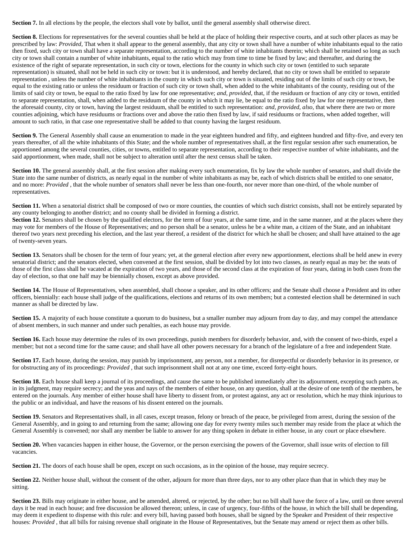**Section 7.** In all elections by the people, the electors shall vote by ballot, until the general assembly shall otherwise direct.

Section 8. Elections for representatives for the several counties shall be held at the place of holding their respective courts, and at such other places as may be prescribed by law: *Provided,* That when it shall appear to the general assembly, that any city or town shall have a number of white inhabitants equal to the ratio then fixed, such city or town shall have a separate representation, according to the number of white inhabitants therein; which shall be retained so long as such city or town shall contain a number of white inhabitants, equal to the ratio which may from time to time be fixed by law; and thereafter, and during the existence of the right of separate representation, in such city or town, elections for the county in which such city or town (entitled to such separate representation) is situated, shall not be held in such city or town: but it is understood, and hereby declared, that no city or town shall be entitled to separate representation , unless the number of white inhabitants in the county in which such city or town is situated, residing out of the limits of such city or town, be equal to the existing ratio or unless the residuum or fraction of such city or town shall, when added to the white inhabitants of the county, residing out of the limits of said city or town, be equal to the ratio fixed by law for one representative; *and, provided,* that, if the residuum or fraction of any city or town, entitled to separate representation, shall, when added to the residuum of the county in which it may lie, be equal to the ratio fixed by law for one representative, then the aforesaid county, city or town, having the largest residuum, shall be entitled to such representation: *and, provided, also,* that where there are two or more counties adjoining, which have residuums or fractions over and above the ratio then fixed by law, if said residuums or fractions, when added together, will amount to such ratio, in that case one representative shall be added to that county having the largest residuum.

Section 9. The General Assembly shall cause an enumeration to made in the year eighteen hundred and fifty, and eighteen hundred and fifty-five, and every ten years thereafter, of all the white inhabitants of this State; and the whole number of representatives shall, at the first regular session after such enumeration, be apportioned among the several counties, cities, or towns, entitled to separate representation, according to their respective number of white inhabitants, and the said apportionment, when made, shall not be subject to alteration until after the next census shall be taken.

**Section 10.** The general assembly shall, at the first session after making every such enumeration, fix by law the whole number of senators, and shall divide the State into the same number of districts, as nearly equal in the number of white inhabitants as may be, each of which districts shall be entitled to one senator, and no more: *Provided* , that the whole number of senators shall never be less than one-fourth, nor never more than one-third, of the whole number of representatives.

Section 11. When a senatorial district shall be composed of two or more counties, the counties of which such district consists, shall not be entirely separated by any county belonging to another district; and no county shall be divided in forming a district.

Section 12. Senators shall be chosen by the qualified electors, for the term of four years, at the same time, and in the same manner, and at the places where they may vote for members of the House of Representatives; and no person shall be a senator, unless he be a white man, a citizen of the State, and an inhabitant thereof two years next preceding his election, and the last year thereof, a resident of the district for which he shall be chosen; and shall have attained to the age of twenty-seven years.

Section 13. Senators shall be chosen for the term of four years; yet, at the general election after every new apportionment, elections shall be held anew in every senatorial district; and the senators elected, when convened at the first session, shall be divided by lot into two classes, as nearly equal as may be: the seats of those of the first class shall be vacated at the expiration of two years, and those of the second class at the expiration of four years, dating in both cases from the day of election, so that one half may be biennially chosen, except as above provided.

Section 14. The House of Representatives, when assembled, shall choose a speaker, and its other officers; and the Senate shall choose a President and its other officers, biennially: each house shall judge of the qualifications, elections and returns of its own members; but a contested election shall be determined in such manner as shall be directed by law.

Section 15. A majority of each house constitute a quorum to do business, but a smaller number may adjourn from day to day, and may compel the attendance of absent members, in such manner and under such penalties, as each house may provide.

Section 16. Each house may determine the rules of its own proceedings, punish members for disorderly behavior, and, with the consent of two-thirds, expel a member; but not a second time for the same cause; and shall have all other powers necessary for a branch of the legislature of a free and independent State.

**Section 17.** Each house, during the session, may punish by imprisonment, any person, not a member, for disrepectful or disorderly behavior in its presence, or for obstructing any of its proceedings: *Provided* , that such imprisonment shall not at any one time, exceed forty-eight hours.

Section 18. Each house shall keep a journal of its proceedings, and cause the same to be published immediately after its adjournment, excepting such parts as, in its judgment, may require secrecy; and the yeas and nays of the members of either house, on any question, shall at the desire of one tenth of the members, be entered on the journals. Any member of either house shall have liberty to dissent from, or protest against, any act or resolution, which he may think injurious to the public or an individual, and have the reasons of his dissent entered on the journals.

Section 19. Senators and Representatives shall, in all cases, except treason, felony or breach of the peace, be privileged from arrest, during the session of the General Assembly, and in going to and returning from the same; allowing one day for every twenty miles such member may reside from the place at which the General Assembly is convened; nor shall any member be liable to answer for any thing spoken in debate in either house, in any court or place elsewhere.

Section 20. When vacancies happen in either house, the Governor, or the person exercising the powers of the Governor, shall issue writs of election to fill vacancies.

**Section 21.** The doors of each house shall be open, except on such occasions, as in the opinion of the house, may require secrecy.

Section 22. Neither house shall, without the consent of the other, adjourn for more than three days, nor to any other place than that in which they may be sitting.

Section 23. Bills may originate in either house, and be amended, altered, or rejected, by the other; but no bill shall have the force of a law, until on three several days it be read in each house; and free discussion be allowed thereon; unless, in case of urgency, four-fifths of the house, in which the bill shall be depending, may deem it expedient to dispense with this rule: and every bill, having passed both houses, shall be signed by the Speaker and President of their respective houses: *Provided*, that all bills for raising revenue shall originate in the House of Representatives, but the Senate may amend or reject them as other bills.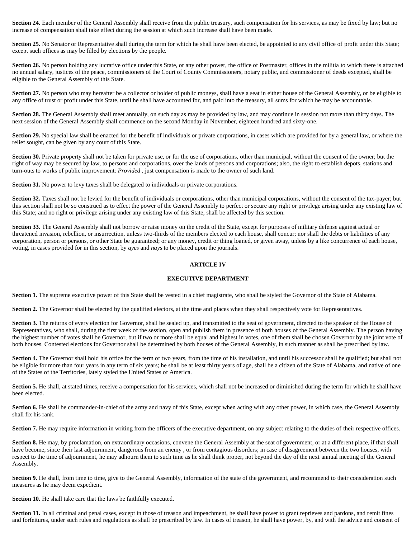Section 24. Each member of the General Assembly shall receive from the public treasury, such compensation for his services, as may be fixed by law; but no increase of compensation shall take effect during the session at which such increase shall have been made.

Section 25. No Senator or Representative shall during the term for which he shall have been elected, be appointed to any civil office of profit under this State; except such offices as may be filled by elections by the people.

Section 26. No person holding any lucrative office under this State, or any other power, the office of Postmaster, offices in the militia to which there is attached no annual salary, justices of the peace, commissioners of the Court of County Commissioners, notary public, and commissioner of deeds excepted, shall be eligible to the General Assembly of this State.

Section 27. No person who may hereafter be a collector or holder of public moneys, shall have a seat in either house of the General Assembly, or be eligible to any office of trust or profit under this State, until he shall have accounted for, and paid into the treasury, all sums for which he may be accountable.

**Section 28.** The General Assembly shall meet annually, on such day as may be provided by law, and may continue in session not more than thirty days. The next session of the General Assembly shall commence on the second Monday in November, eighteen hundred and sixty-one.

Section 29. No special law shall be enacted for the benefit of individuals or private corporations, in cases which are provided for by a general law, or where the relief sought, can be given by any court of this State.

Section 30. Private property shall not be taken for private use, or for the use of corporations, other than municipal, without the consent of the owner; but the right of way may be secured by law, to persons and corporations, over the lands of persons and corporations; also, the right to establish depots, stations and turn-outs to works of public improvement: *Provided* , just compensation is made to the owner of such land.

**Section 31.** No power to levy taxes shall be delegated to individuals or private corporations.

Section 32. Taxes shall not be levied for the benefit of individuals or corporations, other than municipal corporations, without the consent of the tax-payer; but this section shall not be so construed as to effect the power of the General Assembly to perfect or secure any right or privilege arising under any existing law of this State; and no right or privilege arising under any existing law of this State, shall be affected by this section.

Section 33. The General Assembly shall not borrow or raise money on the credit of the State, except for purposes of military defense against actual or threatened invasion, rebellion, or insurrection, unless two-thirds of the members elected to each house, shall concur; nor shall the debts or liabilities of any corporation, person or persons, or other State be guaranteed; or any money, credit or thing loaned, or given away, unless by a like concurrence of each house, voting, in cases provided for in this section, by *ayes* and *nays* to be placed upon the journals.

#### **ARTICLE IV**

#### **EXECUTIVE DEPARTMENT**

Section 1. The supreme executive power of this State shall be vested in a chief magistrate, who shall be styled the Governor of the State of Alabama.

Section 2. The Governor shall be elected by the qualified electors, at the time and places when they shall respectively vote for Representatives.

Section 3. The returns of every election for Governor, shall be sealed up, and transmitted to the seat of government, directed to the speaker of the House of Representatives, who shall, during the first week of the session, open and publish them in presence of both houses of the General Assembly. The person having the highest number of votes shall be Governor, but if two or more shall be equal and highest in votes, one of them shall be chosen Governor by the joint vote of both houses. Contested elections for Governor shall be determined by both houses of the General Assembly, in such manner as shall be prescribed by law.

Section 4. The Governor shall hold his office for the term of two years, from the time of his installation, and until his successor shall be qualified; but shall not be eligible for more than four years in any term of six years; he shall be at least thirty years of age, shall be a citizen of the State of Alabama, and native of one of the States of the Territories, lately styled the United States of America.

Section 5. He shall, at stated times, receive a compensation for his services, which shall not be increased or diminished during the term for which he shall have been elected.

Section 6. He shall be commander-in-chief of the army and navy of this State, except when acting with any other power, in which case, the General Assembly shall fix his rank.

Section 7. He may require information in writing from the officers of the executive department, on any subject relating to the duties of their respective offices.

Section 8. He may, by proclamation, on extraordinary occasions, convene the General Assembly at the seat of government, or at a different place, if that shall have become, since their last adjournment, dangerous from an enemy, or from contagious disorders; in case of disagreement between the two houses, with respect to the time of adjournment, he may adhourn them to such time as he shall think proper, not beyond the day of the next annual meeting of the General Assembly.

Section 9. He shall, from time to time, give to the General Assembly, information of the state of the government, and recommend to their consideration such measures as he may deem expedient.

**Section 10.** He shall take care that the laws be faithfully executed.

Section 11. In all criminal and penal cases, except in those of treason and impeachment, he shall have power to grant reprieves and pardons, and remit fines and forfeitures, under such rules and regulations as shall be prescribed by law. In cases of treason, he shall have power, by, and with the advice and consent of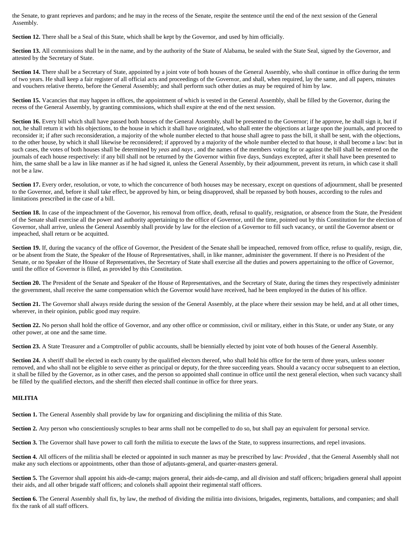the Senate, to grant reprieves and pardons; and he may in the recess of the Senate, respite the sentence until the end of the next session of the General Assembly.

**Section 12.** There shall be a Seal of this State, which shall be kept by the Governor, and used by him officially.

Section 13. All commissions shall be in the name, and by the authority of the State of Alabama, be sealed with the State Seal, signed by the Governor, and attested by the Secretary of State.

Section 14. There shall be a Secretary of State, appointed by a joint vote of both houses of the General Assembly, who shall continue in office during the term of two years. He shall keep a fair register of all official acts and proceedings of the Governor, and shall, when required, lay the same, and all papers, minutes and vouchers relative thereto, before the General Assembly; and shall perform such other duties as may be required of him by law.

Section 15. Vacancies that may happen in offices, the appointment of which is vested in the General Assembly, shall be filled by the Governor, during the recess of the General Assembly, by granting commissions, which shall expire at the end of the next session.

Section 16. Every bill which shall have passed both houses of the General Assembly, shall be presented to the Governor; if he approve, he shall sign it, but if not, he shall return it with his objections, to the house in which it shall have originated, who shall enter the objections at large upon the journals, and proceed to reconsider it; if after such reconsideration, a majority of the whole number elected to that house shall agree to pass the bill, it shall be sent, with the objections, to the other house, by which it shall likewise be reconsidered; if approved by a majority of the whole number elected to that house, it shall become a law: but in such cases, the votes of both houses shall be determined by *yeas* and *nays*, and the names of the members voting for or against the bill shall be entered on the journals of each house respectively: if any bill shall not be returned by the Governor within five days, Sundays excepted, after it shall have been presented to him, the same shall be a law in like manner as if he had signed it, unless the General Assembly, by their adjournment, prevent its return, in which case it shall not be a law.

**Section 17.** Every order, resolution, or vote, to which the concurrence of both houses may be necessary, except on questions of adjournment, shall be presented to the Governor, and, before it shall take effect, be approved by him, or being disapproved, shall be repassed by both houses, according to the rules and limitations prescribed in the case of a bill.

Section 18. In case of the impeachment of the Governor, his removal from office, death, refusal to qualify, resignation, or absence from the State, the President of the Senate shall exercise all the power and authority appertaining to the office of Governor, until the time, pointed out by this Constitution for the election of Governor, shall arrive, unless the General Assembly shall provide by law for the election of a Governor to fill such vacancy, or until the Governor absent or impeached, shall return or be acquitted.

Section 19. If, during the vacancy of the office of Governor, the President of the Senate shall be impeached, removed from office, refuse to qualify, resign, die, or be absent from the State, the Speaker of the House of Representatives, shall, in like manner, administer the government. If there is no President of the Senate, or no Speaker of the House of Representatives, the Secretary of State shall exercise all the duties and powers appertaining to the office of Governor, until the office of Governor is filled, as provided by this Constitution.

Section 20. The President of the Senate and Speaker of the House of Representatives, and the Secretary of State, during the times they respectively administer the government, shall receive the same compensation which the Governor would have received, had he been employed in the duties of his office.

Section 21. The Governor shall always reside during the session of the General Assembly, at the place where their session may be held, and at all other times, wherever, in their opinion, public good may require.

Section 22. No person shall hold the office of Governor, and any other office or commission, civil or military, either in this State, or under any State, or any other power, at one and the same time.

Section 23. A State Treasurer and a Comptroller of public accounts, shall be biennially elected by joint vote of both houses of the General Assembly.

**Section 24.** A sheriff shall be elected in each county by the qualified electors thereof, who shall hold his office for the term of three years, unless sooner removed, and who shall not be eligible to serve either as principal or deputy, for the three succeeding years. Should a vacancy occur subsequent to an election, it shall be filled by the Governor, as in other cases, and the person so appointed shall continue in office until the next general election, when such vacancy shall be filled by the qualified electors, and the sheriff then elected shall continue in office for three years.

#### **MILITIA**

**Section 1.** The General Assembly shall provide by law for organizing and disciplining the militia of this State.

**Section 2.** Any person who conscientiously scruples to bear arms shall not be compelled to do so, but shall pay an equivalent for personal service.

Section 3. The Governor shall have power to call forth the militia to execute the laws of the State, to suppress insurrections, and repel invasions.

Section 4. All officers of the militia shall be elected or appointed in such manner as may be prescribed by law: *Provided*, that the General Assembly shall not make any such elections or appointments, other than those of adjutants-general, and quarter-masters general.

Section 5. The Governor shall appoint his aids-de-camp; majors general, their aids-de-camp, and all division and staff officers; brigadiers general shall appoint their aids, and all other brigade staff officers; and colonels shall appoint their regimental staff officers.

**Section 6.** The General Assembly shall fix, by law, the method of dividing the militia into divisions, brigades, regiments, battalions, and companies; and shall fix the rank of all staff officers.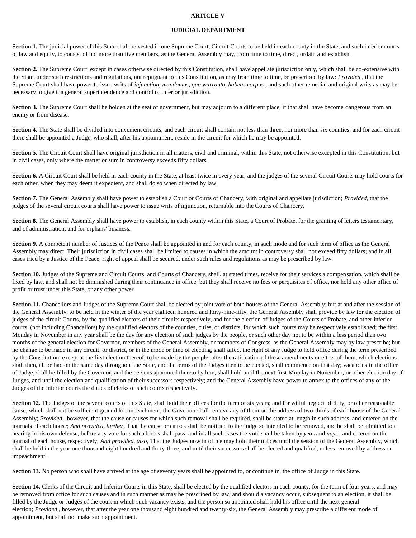#### **ARTICLE V**

### **JUDICIAL DEPARTMENT**

Section 1. The judicial power of this State shall be vested in one Supreme Court, Circuit Courts to be held in each county in the State, and such inferior courts of law and equity, to consist of not more than five members, as the General Assembly may, from time to time, direct, ordain and establish.

**Section 2.** The Supreme Court, except in cases otherwise directed by this Constitution, shall have appellate jurisdiction only, which shall be co-extensive with the State, under such restrictions and regulations, not repugnant to this Constitution, as may from time to time, be prescribed by law: *Provided* , that the Supreme Court shall have power to issue writs of *injunction, mandamus, quo warranto, habeas corpus* , and such other remedial and original writs as may be necessary to give it a general superintendence and control of inferior jurisdiction.

**Section 3.** The Supreme Court shall be holden at the seat of government, but may adjourn to a different place, if that shall have become dangerous from an enemy or from disease.

Section 4. The State shall be divided into convenient circuits, and each circuit shall contain not less than three, nor more than six counties; and for each circuit there shall be appointed a Judge, who shall, after his appointment, reside in the circuit for which he may be appointed.

Section 5. The Circuit Court shall have original jurisdiction in all matters, civil and criminal, within this State, not otherwise excepted in this Constitution; but in civil cases, only where the matter or sum in controversy exceeds fifty dollars.

Section 6. A Circuit Court shall be held in each county in the State, at least twice in every year, and the judges of the several Circuit Courts may hold courts for each other, when they may deem it expedient, and shall do so when directed by law.

**Section 7.** The General Assembly shall have power to establish a Court or Courts of Chancery, with original and appellate jurisdiction; *Provided,* that the judges of the several circuit courts shall have power to issue writs of injunction, returnable into the Courts of Chancery.

Section 8. The General Assembly shall have power to establish, in each county within this State, a Court of Probate, for the granting of letters testamentary, and of administration, and for orphans' business.

Section 9. A competent number of Justices of the Peace shall be appointed in and for each county, in such mode and for such term of office as the General Assembly may direct. Their jurisdiction in civil cases shall be limited to causes in which the amount in controversy shall not exceed fifty dollars; and in all cases tried by a Justice of the Peace, right of appeal shall be secured, under such rules and regulations as may be prescribed by law.

Section 10. Judges of the Supreme and Circuit Courts, and Courts of Chancery, shall, at stated times, receive for their services a compensation, which shall be fixed by law, and shall not be diminished during their continuance in office; but they shall receive no fees or perquisites of office, nor hold any other office of profit or trust under this State, or any other power.

Section 11. Chancellors and Judges of the Supreme Court shall be elected by joint vote of both houses of the General Assembly; but at and after the session of the General Assembly, to be held in the winter of the year eighteen hundred and forty-nine-fifty, the General Assembly shall provide by law for the election of judges of the circuit Courts, by the qualified electors of their circuits respectively, and for the election of Judges of the Courts of Probate, and other inferior courts, (not including Chancellors) by the qualified electors of the counties, cities, or districts, for which such courts may be respectively established; the first Monday in November in any year shall be the day for any election of such judges by the people, or such other day not to be within a less period than two months of the general election for Governor, members of the General Assembly, or members of Congress, as the General Assembly may by law prescribe; but no change to be made in any circuit, or district, or in the mode or time of electing, shall affect the right of any Judge to hold office during the term prescribed by the Constitution, except at the first election thereof, to be made by the people, after the ratification of these amendments or either of them, which elections shall then, all be had on the same day throughout the State, and the terms of the Judges then to be elected, shall commence on that day; vacancies in the office of Judge, shall be filled by the Governor, and the persons appointed thereto by him, shall hold until the next first Monday in November, or other election day of Judges, and until the election and qualification of their successors respectively; and the General Assembly have power to annex to the offices of any of the Judges of the inferior courts the duties of clerks of such courts respectively.

Section 12. The Judges of the several courts of this State, shall hold their offices for the term of six years; and for wilful neglect of duty, or other reasonable cause, which shall not be sufficient ground for impeachment, the Governor shall remove any of them on the address of two-thirds of each house of the General Assembly; *Provided*, however, that the cause or causes for which such removal shall be required, shall be stated at length in such address, and entered on the journals of each house; *And provided, further,* That the cause or causes shall be notified to the Judge so intended to be removed, and he shall be admitted to a hearing in his own defense, before any vote for such address shall pass; and in all such cases the vote shall be taken by *yeas* and *nays* , and entered on the journal of each house, respectively; *And provided, also,* That the Judges now in office may hold their offices until the session of the General Assembly, which shall be held in the year one thousand eight hundred and thirty-three, and until their successors shall be elected and qualified, unless removed by address or impeachment.

Section 13. No person who shall have arrived at the age of seventy years shall be appointed to, or continue in, the office of Judge in this State.

Section 14. Clerks of the Circuit and Inferior Courts in this State, shall be elected by the qualified electors in each county, for the term of four years, and may be removed from office for such causes and in such manner as may be prescribed by law; and should a vacancy occur, subsequent to an election, it shall be filled by the Judge or Judges of the court in which such vacancy exists; and the person so appointed shall hold his office until the next general election; *Provided*, however, that after the year one thousand eight hundred and twenty-six, the General Assembly may prescribe a different mode of appointment, but shall not make such appointment.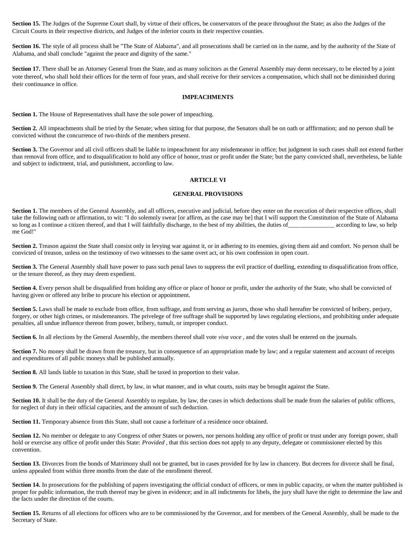Section 15. The Judges of the Supreme Court shall, by virtue of their offices, be conservators of the peace throughout the State; as also the Judges of the Circuit Courts in their respective districts, and Judges of the inferior courts in their respective counties.

Section 16. The style of all process shall be "The State of Alabama", and all prosecutions shall be carried on in the name, and by the authority of the State of Alabama, and shall conclude "against the peace and dignity of the same."

Section 17. There shall be an Attorney General from the State, and as many solicitors as the General Assembly may deem necessary, to be elected by a joint vote thereof, who shall hold their offices for the term of four years, and shall receive for their services a compensation, which shall not be diminished during their continuance in office.

#### **IMPEACHMENTS**

**Section 1.** The House of Representatives shall have the sole power of impeaching.

Section 2. All impeachments shall be tried by the Senate; when sitting for that purpose, the Senators shall be on oath or afffirmation; and no person shall be convicted without the concurrence of two-thirds of the members present.

Section 3. The Governor and all civil officers shall be liable to impeachment for any misdemeanor in office; but judgment in such cases shall not extend further than removal from office, and to disqualification to hold any office of honor, trust or profit under the State; but the party convicted shall, nevertheless, be liable and subject to indictment, trial, and punishment, according to law.

### **ARTICLE VI**

### **GENERAL PROVISIONS**

Section 1. The members of the General Assembly, and all officers, executive and judicial, before they enter on the execution of their respective offices, shall take the following oath or affirmation, to wit: "I do solemnly swear [or affirm, as the case may be] that I will support the Constitution of the State of Alabama so long as I continue a citizen thereof, and that I will faithfully discharge, to the best of my abilities, the duties of\_\_\_\_\_\_\_\_\_\_\_\_\_\_\_\_ according to law, so help me God!"

**Section 2.** Treason against the State shall consist only in levying war against it, or in adhering to its enemies, giving them aid and comfort. No person shall be convicted of treason, unless on the testimony of two witnesses to the same overt act, or his own confession in open court.

**Section 3.** The General Assembly shall have power to pass such penal laws to suppress the evil practice of duelling, extending to disqualification from office, or the tenure thereof, as they may deem expedient.

Section 4. Every person shall be disqualified from holding any office or place of honor or profit, under the authority of the State, who shall be convicted of having given or offered any bribe to procure his election or appointment.

**Section 5.** Laws shall be made to exclude from office, from suffrage, and from serving as jurors, those who shall hereafter be convicted of bribery, perjury, forgery, or other high crimes, or misdemeanors. The privelege of free suffrage shall be supported by laws regulating elections, and prohibiting under adequate penalties, all undue influence thereon from power, bribery, tumult, or improper conduct.

**Section 6.** In all elections by the General Assembly, the members thereof shall vote *viva voce*, and the votes shall be entered on the journals.

Section 7. No money shall be drawn from the treasury, but in consequence of an appropriation made by law; and a regular statement and account of receipts and expenditures of all public moneys shall be published annually.

**Section 8.** All lands liable to taxation in this State, shall be taxed in proportion to their value.

Section 9. The General Assembly shall direct, by law, in what manner, and in what courts, suits may be brought against the State.

Section 10. It shall be the duty of the General Assembly to regulate, by law, the cases in which deductions shall be made from the salaries of public officers, for neglect of duty in their official capacities, and the amount of such deduction.

**Section 11.** Temporary absence from this State, shall not cause a forfeiture of a residence once obtained.

Section 12. No member or delegate to any Congress of other States or powers, nor persons holding any office of profit or trust under any foreign power, shall hold or exercise any office of profit under this State: *Provided* , that this section does not apply to any deputy, delegate or commissioner elected by this convention.

Section 13. Divorces from the bonds of Matrimony shall not be granted, but in cases provided for by law in chancery. But decrees for divorce shall be final, unless appealed from within three months from the date of the enrollment thereof.

Section 14. In prosecutions for the publishing of papers investigating the official conduct of officers, or men in public capacity, or when the matter published is proper for public information, the truth thereof may be given in evidence; and in all indictments for libels, the jury shall have the right to determine the law and the facts under the direction of the courts.

Section 15. Returns of all elections for officers who are to be commissioned by the Governor, and for members of the General Assembly, shall be made to the Secretary of State.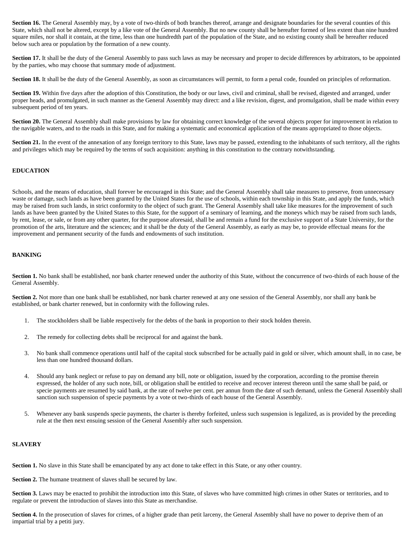Section 16. The General Assembly may, by a vote of two-thirds of both branches thereof, arrange and designate boundaries for the several counties of this State, which shall not be altered, except by a like vote of the General Assembly. But no new county shall be hereafter formed of less extent than nine hundred square miles, nor shall it contain, at the time, less than one hundredth part of the population of the State, and no existing county shall be hereafter reduced below such area or population by the formation of a new county.

Section 17. It shall be the duty of the General Assembly to pass such laws as may be necessary and proper to decide differences by arbitrators, to be appointed by the parties, who may choose that summary mode of adjustment.

Section 18. It shall be the duty of the General Assembly, as soon as circumstances will permit, to form a penal code, founded on principles of reformation.

Section 19. Within five days after the adoption of this Constitution, the body or our laws, civil and criminal, shall be revised, digested and arranged, under proper heads, and promulgated, in such manner as the General Assembly may direct: and a like revision, digest, and promulgation, shall be made within every subsequent period of ten years.

**Section 20.** The General Assembly shall make provisions by law for obtaining correct knowledge of the several objects proper for improvement in relation to the navigable waters, and to the roads in this State, and for making a systematic and economical application of the means appropriated to those objects.

Section 21. In the event of the annexation of any foreign territory to this State, laws may be passed, extending to the inhabitants of such territory, all the rights and privileges which may be required by the terms of such acquisition: anything in this constitution to the contrary notwithstanding.

## **EDUCATION**

Schools, and the means of education, shall forever be encouraged in this State; and the General Assembly shall take measures to preserve, from unnecessary waste or damage, such lands as have been granted by the United States for the use of schools, within each township in this State, and apply the funds, which may be raised from such lands, in strict conformity to the object of such grant. The General Assembly shall take like measures for the improvement of such lands as have been granted by the United States to this State, for the support of a seminary of learning, and the moneys which may be raised from such lands, by rent, lease, or sale, or from any other quarter, for the purpose aforesaid, shall be and remain a fund for the exclusive support of a State University, for the promotion of the arts, literature and the sciences; and it shall be the duty of the General Assembly, as early as may be, to provide effectual means for the improvement and permanent security of the funds and endowments of such institution.

### **BANKING**

Section 1. No bank shall be established, nor bank charter renewed under the authority of this State, without the concurrence of two-thirds of each house of the General Assembly.

**Section 2.** Not more than one bank shall be established, nor bank charter renewed at any one session of the General Assembly, nor shall any bank be established, or bank charter renewed, but in conformity with the following rules.

- 1. The stockholders shall be liable respectively for the debts of the bank in proportion to their stock holden therein.
- 2. The remedy for collecting debts shall be reciprocal for and against the bank.
- 3. No bank shall commence operations until half of the capital stock subscribed for be actually paid in gold or silver, which amount shall, in no case, be less than one hundred thousand dollars.
- 4. Should any bank neglect or refuse to pay on demand any bill, note or obligation, issued by the corporation, according to the promise therein expressed, the holder of any such note, bill, or obligation shall be entitled to receive and recover interest thereon until the same shall be paid, or specie payments are resumed by said bank, at the rate of twelve per cent. per annun from the date of such demand, unless the General Assembly shall sanction such suspension of specie payments by a vote ot two-thirds of each house of the General Assembly.
- 5. Whenever any bank suspends specie payments, the charter is thereby forfeited, unless such suspension is legalized, as is provided by the preceding rule at the then next ensuing session of the General Assembly after such suspension.

# **SLAVERY**

**Section 1.** No slave in this State shall be emancipated by any act done to take effect in this State, or any other country.

**Section 2.** The humane treatment of slaves shall be secured by law.

Section 3. Laws may be enacted to prohibit the introduction into this State, of slaves who have committed high crimes in other States or territories, and to regulate or prevent the introduction of slaves into this State as merchandise.

**Section 4.** In the prosecution of slaves for crimes, of a higher grade than petit larceny, the General Assembly shall have no power to deprive them of an impartial trial by a petiti jury.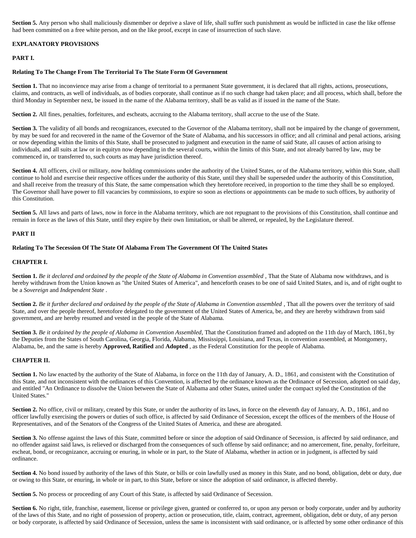Section 5. Any person who shall maliciously dismember or deprive a slave of life, shall suffer such punishment as would be inflicted in case the like offense had been committed on a free white person, and on the like proof, except in case of insurrection of such slave.

# **EXPLANATORY PROVISIONS**

## **PART I.**

#### **Relating To The Change From The Territorial To The State Form Of Government**

Section 1. That no inconvience may arise from a change of territorial to a permanent State government, it is declared that all rights, actions, prosecutions, claims, and contracts, as well of individuals, as of bodies corporate, shall continue as if no such change had taken place; and all process, which shall, before the third Monday in September next, be issued in the name of the Alabama territory, shall be as valid as if issued in the name of the State.

Section 2. All fines, penalties, forfeitures, and escheats, accruing to the Alabama territory, shall accrue to the use of the State.

Section 3. The validity of all bonds and recognizances, executed to the Governor of the Alabama territory, shall not be impaired by the change of government, by may be sued for and recovered in the name of the Governor of the State of Alabama, and his successors in office; and all criminal and penal actions, arising or now depending within the limits of this State, shall be prosecuted to judgment and execution in the name of said State, all causes of action arising to individuals, and all suits at law or in equityn now depending in the several courts, within the limits of this State, and not already barred by law, may be commenced in, or transferred to, such courts as may have jurisdiction thereof.

Section 4. All officers, civil or military, now holding commissions under the authority of the United States, or of the Alabama territory, within this State, shall continue to hold and exercise their respective offices under the authority of this State, until they shall be superseded under the authority of this Constitution, and shall receive from the treasury of this State, the same compensation which they heretofore received, in proportion to the time they shall be so employed. The Governor shall have power to fill vacancies by commissions, to expire so soon as elections or appointments can be made to such offices, by authority of this Constitution.

Section 5. All laws and parts of laws, now in force in the Alabama territory, which are not repugnant to the provisions of this Constitution, shall continue and remain in force as the laws of this State, until they expire by their own limitation, or shall be altered, or repealed, by the Legislature thereof.

### **PART II**

### **Relating To The Secession Of The State Of Alabama From The Government Of The United States**

# **CHAPTER I.**

**Section 1.** *Be it declared and ordained by the people of the State of Alabama in Convention assembled* , That the State of Alabama now withdraws, and is hereby withdrawn from the Union known as "the United States of America", and henceforth ceases to be one of said United States, and is, and of right ought to be a *Sovereign* and *Independent State* .

**Section 2.** *Be it further declared and ordained by the people of the State of Alabama in Convention assembled* , That all the powers over the territory of said State, and over the people thereof, heretofore delegated to the government of the United States of America, be, and they are hereby withdrawn from said government, and are hereby resumed and vested in the people of the State of Alabama.

**Section 3.** *Be it ordained by the people of Alabama in Convention Assembled,* That the Constitution framed and adopted on the 11th day of March, 1861, by the Deputies from the States of South Carolina, Georgia, Florida, Alabama, Mississippi, Louisiana, and Texas, in convention assembled, at Montgomery, Alabama, be, and the same is hereby **Approved, Ratified** and **Adopted** , as the Federal Constitution for the people of Alabama.

#### **CHAPTER II.**

Section 1. No law enacted by the authority of the State of Alabama, in force on the 11th day of January, A. D., 1861, and consistent with the Constitution of this State, and not inconsistent with the ordinances of this Convention, is affected by the ordinance known as the Ordinance of Secession, adopted on said day, and entitled "An Ordinance to dissolve the Union between the State of Alabama and other States, united under the compact styled the Constitution of the United States."

Section 2. No office, civil or military, created by this State, or under the authority of its laws, in force on the eleventh day of January, A. D., 1861, and no officer lawfully exercising the powers or duties of such office, is affected by said Ordinance of Secession, except the offices of the members of the House of Representatives, and of the Senators of the Congress of the United States of America, and these are abrogated.

Section 3. No offense against the laws of this State, committed before or since the adoption of said Ordinance of Secession, is affected by said ordinance, and no offender against said laws, is relieved or discharged from the consequences of such offense by said ordinance; and no amercement, fine, penalty, forfeiture, escheat, bond, or recognizance, accruing or enuring, in whole or in part, to the State of Alabama, whether in action or in judgment, is affected by said ordinance.

Section 4. No bond issued by authority of the laws of this State, or bills or coin lawfully used as money in this State, and no bond, obligation, debt or duty, due or owing to this State, or enuring, in whole or in part, to this State, before or since the adoption of said ordinance, is affected thereby.

**Section 5.** No process or proceeding of any Court of this State, is affected by said Ordinance of Secession.

Section 6. No right, title, franchise, easement, license or privilege given, granted or conferred to, or upon any person or body corporate, under and by authority of the laws of this State, and no right of possession of property, action or prosecution, title, claim, contract, agreement, obligation, debt or duty, of any person or body corporate, is affected by said Ordinance of Secession, unless the same is inconsistent with said ordinance, or is affected by some other ordinance of this